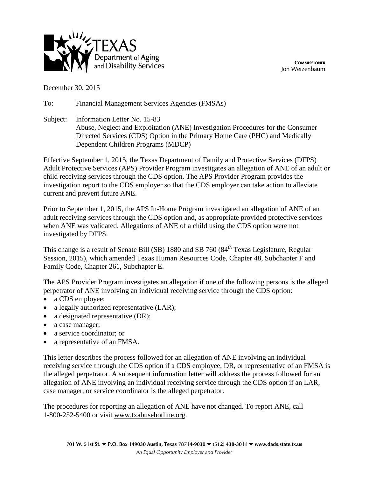



December 30, 2015

To: Financial Management Services Agencies (FMSAs)

Subject: Information Letter No. 15-83 Abuse, Neglect and Exploitation (ANE) Investigation Procedures for the Consumer Directed Services (CDS) Option in the Primary Home Care (PHC) and Medically Dependent Children Programs (MDCP)

Effective September 1, 2015, the Texas Department of Family and Protective Services (DFPS) Adult Protective Services (APS) Provider Program investigates an allegation of ANE of an adult or child receiving services through the CDS option. The APS Provider Program provides the investigation report to the CDS employer so that the CDS employer can take action to alleviate current and prevent future ANE.

Prior to September 1, 2015, the APS In-Home Program investigated an allegation of ANE of an adult receiving services through the CDS option and, as appropriate provided protective services when ANE was validated. Allegations of ANE of a child using the CDS option were not investigated by DFPS.

This change is a result of Senate Bill (SB) 1880 and SB 760 (84<sup>th</sup> Texas Legislature, Regular Session, 2015), which amended Texas Human Resources Code, Chapter 48, Subchapter F and Family Code, Chapter 261, Subchapter E.

The APS Provider Program investigates an allegation if one of the following persons is the alleged perpetrator of ANE involving an individual receiving service through the CDS option:

- a CDS employee;
- a legally authorized representative (LAR);
- a designated representative (DR);
- a case manager;
- a service coordinator; or
- a representative of an FMSA.

This letter describes the process followed for an allegation of ANE involving an individual receiving service through the CDS option if a CDS employee, DR, or representative of an FMSA is the alleged perpetrator. A subsequent information letter will address the process followed for an allegation of ANE involving an individual receiving service through the CDS option if an LAR, case manager, or service coordinator is the alleged perpetrator.

The procedures for reporting an allegation of ANE have not changed. To report ANE, call 1-800-252-5400 or visit [www.txabusehotline.org.](http://www.txabusehotline.org/)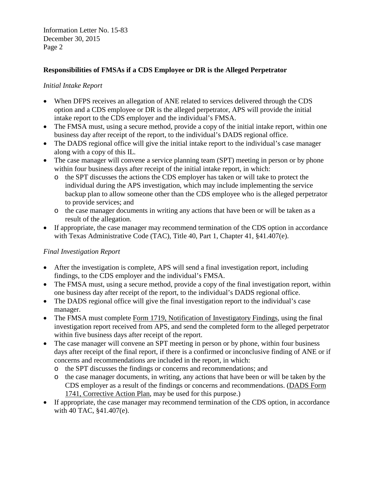Information Letter No. 15-83 December 30, 2015 Page 2

## **Responsibilities of FMSAs if a CDS Employee or DR is the Alleged Perpetrator**

#### *Initial Intake Report*

- When DFPS receives an allegation of ANE related to services delivered through the CDS option and a CDS employee or DR is the alleged perpetrator, APS will provide the initial intake report to the CDS employer and the individual's FMSA.
- The FMSA must, using a secure method, provide a copy of the initial intake report, within one business day after receipt of the report, to the individual's DADS regional office.
- The DADS regional office will give the initial intake report to the individual's case manager along with a copy of this IL.
- The case manager will convene a service planning team (SPT) meeting in person or by phone within four business days after receipt of the initial intake report, in which:
	- o the SPT discusses the actions the CDS employer has taken or will take to protect the individual during the APS investigation, which may include implementing the service backup plan to allow someone other than the CDS employee who is the alleged perpetrator to provide services; and
	- o the case manager documents in writing any actions that have been or will be taken as a result of the allegation.
- If appropriate, the case manager may recommend termination of the CDS option in accordance with Texas Administrative Code (TAC), Title 40, Part 1, Chapter 41, §41.407(e).

### *Final Investigation Report*

- After the investigation is complete, APS will send a final investigation report, including findings, to the CDS employer and the individual's FMSA.
- The FMSA must, using a secure method, provide a copy of the final investigation report, within one business day after receipt of the report, to the individual's DADS regional office.
- The DADS regional office will give the final investigation report to the individual's case manager.
- The FMSA must complete [Form 1719, Notification of Investigatory Findings,](http://www.dads.state.tx.us/forms/1719/) using the final investigation report received from APS, and send the completed form to the alleged perpetrator within five business days after receipt of the report.
- The case manager will convene an SPT meeting in person or by phone, within four business days after receipt of the final report, if there is a confirmed or inconclusive finding of ANE or if concerns and recommendations are included in the report, in which:
	- o the SPT discusses the findings or concerns and recommendations; and
	- o the case manager documents, in writing, any actions that have been or will be taken by the CDS employer as a result of the findings or concerns and recommendations. [\(DADS Form](http://www.dads.state.tx.us/forms/1741/)  [1741, Corrective Action Plan,](http://www.dads.state.tx.us/forms/1741/) may be used for this purpose.)
- If appropriate, the case manager may recommend termination of the CDS option, in accordance with 40 TAC, §41.407(e).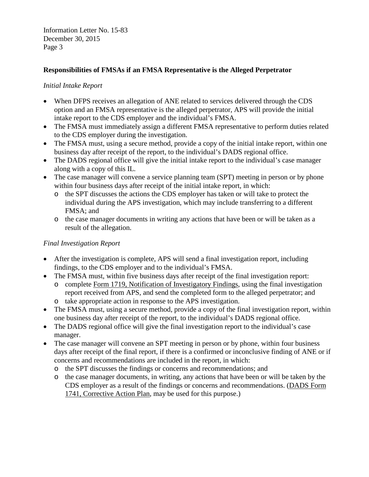Information Letter No. 15-83 December 30, 2015 Page 3

### **Responsibilities of FMSAs if an FMSA Representative is the Alleged Perpetrator**

### *Initial Intake Report*

- When DFPS receives an allegation of ANE related to services delivered through the CDS option and an FMSA representative is the alleged perpetrator, APS will provide the initial intake report to the CDS employer and the individual's FMSA.
- The FMSA must immediately assign a different FMSA representative to perform duties related to the CDS employer during the investigation.
- The FMSA must, using a secure method, provide a copy of the initial intake report, within one business day after receipt of the report, to the individual's DADS regional office.
- The DADS regional office will give the initial intake report to the individual's case manager along with a copy of this IL.
- The case manager will convene a service planning team (SPT) meeting in person or by phone within four business days after receipt of the initial intake report, in which:
	- o the SPT discusses the actions the CDS employer has taken or will take to protect the individual during the APS investigation, which may include transferring to a different FMSA; and
	- o the case manager documents in writing any actions that have been or will be taken as a result of the allegation.

# *Final Investigation Report*

- After the investigation is complete, APS will send a final investigation report, including findings, to the CDS employer and to the individual's FMSA.
- The FMSA must, within five business days after receipt of the final investigation report:
	- o complete [Form 1719, Notification of Investigatory Findings,](http://www.dads.state.tx.us/forms/1719/) using the final investigation report received from APS, and send the completed form to the alleged perpetrator; and
	- o take appropriate action in response to the APS investigation.
- The FMSA must, using a secure method, provide a copy of the final investigation report, within one business day after receipt of the report, to the individual's DADS regional office.
- The DADS regional office will give the final investigation report to the individual's case manager.
- The case manager will convene an SPT meeting in person or by phone, within four business days after receipt of the final report, if there is a confirmed or inconclusive finding of ANE or if concerns and recommendations are included in the report, in which:
	- o the SPT discusses the findings or concerns and recommendations; and
	- o the case manager documents, in writing, any actions that have been or will be taken by the CDS employer as a result of the findings or concerns and recommendations. [\(DADS Form](http://www.dads.state.tx.us/forms/1741/)  [1741, Corrective Action Plan,](http://www.dads.state.tx.us/forms/1741/) may be used for this purpose.)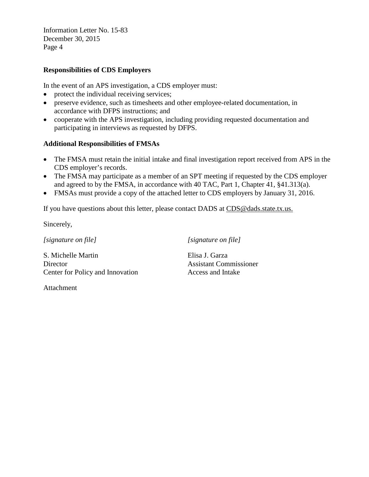Information Letter No. 15-83 December 30, 2015 Page 4

#### **Responsibilities of CDS Employers**

In the event of an APS investigation, a CDS employer must:

- protect the individual receiving services;
- preserve evidence, such as timesheets and other employee-related documentation, in accordance with DFPS instructions; and
- cooperate with the APS investigation, including providing requested documentation and participating in interviews as requested by DFPS.

#### **Additional Responsibilities of FMSAs**

- The FMSA must retain the initial intake and final investigation report received from APS in the CDS employer's records.
- The FMSA may participate as a member of an SPT meeting if requested by the CDS employer and agreed to by the FMSA, in accordance with 40 TAC, Part 1, Chapter 41, §41.313(a).
- FMSAs must provide a copy of the attached letter to CDS employers by January 31, 2016.

If you have questions about this letter, please contact DADS at [CDS@dads.state.tx.us.](mailto:CDS@dads.state.tx.us)

Sincerely,

*[signature on file]*

S. Michelle Martin **Director** Center for Policy and Innovation *[signature on file]*

Elisa J. Garza Assistant Commissioner Access and Intake

Attachment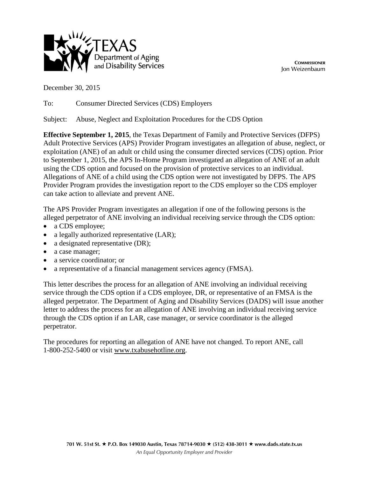



December 30, 2015

To: Consumer Directed Services (CDS) Employers

Subject: Abuse, Neglect and Exploitation Procedures for the CDS Option

**Effective September 1, 2015**, the Texas Department of Family and Protective Services (DFPS) Adult Protective Services (APS) Provider Program investigates an allegation of abuse, neglect, or exploitation (ANE) of an adult or child using the consumer directed services (CDS) option. Prior to September 1, 2015, the APS In-Home Program investigated an allegation of ANE of an adult using the CDS option and focused on the provision of protective services to an individual. Allegations of ANE of a child using the CDS option were not investigated by DFPS. The APS Provider Program provides the investigation report to the CDS employer so the CDS employer can take action to alleviate and prevent ANE.

The APS Provider Program investigates an allegation if one of the following persons is the alleged perpetrator of ANE involving an individual receiving service through the CDS option:

- 
- a CDS employee;
- a legally authorized representative (LAR);
- a designated representative (DR);
- a case manager;
- a service coordinator; or
- a representative of a financial management services agency (FMSA).

This letter describes the process for an allegation of ANE involving an individual receiving service through the CDS option if a CDS employee, DR, or representative of an FMSA is the alleged perpetrator. The Department of Aging and Disability Services (DADS) will issue another letter to address the process for an allegation of ANE involving an individual receiving service through the CDS option if an LAR, case manager, or service coordinator is the alleged perpetrator.

The procedures for reporting an allegation of ANE have not changed. To report ANE, call 1-800-252-5400 or visit [www.txabusehotline.org.](http://www.txabusehotline.org/)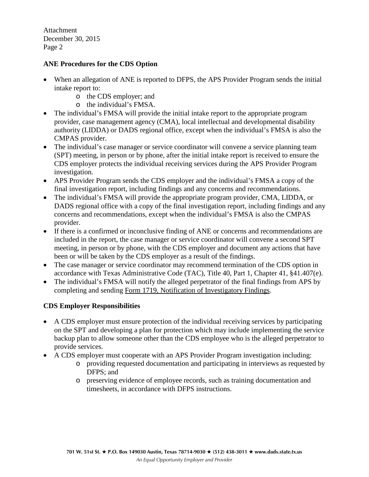**Attachment** December 30, 2015 Page 2

## **ANE Procedures for the CDS Option**

- When an allegation of ANE is reported to DFPS, the APS Provider Program sends the initial intake report to:
	- o the CDS employer; and
	- o the individual's FMSA.
- The individual's FMSA will provide the initial intake report to the appropriate program provider, case management agency (CMA), local intellectual and developmental disability authority (LIDDA) or DADS regional office, except when the individual's FMSA is also the CMPAS provider.
- The individual's case manager or service coordinator will convene a service planning team (SPT) meeting, in person or by phone, after the initial intake report is received to ensure the CDS employer protects the individual receiving services during the APS Provider Program investigation.
- APS Provider Program sends the CDS employer and the individual's FMSA a copy of the final investigation report, including findings and any concerns and recommendations.
- The individual's FMSA will provide the appropriate program provider, CMA, LIDDA, or DADS regional office with a copy of the final investigation report, including findings and any concerns and recommendations, except when the individual's FMSA is also the CMPAS provider.
- If there is a confirmed or inconclusive finding of ANE or concerns and recommendations are included in the report, the case manager or service coordinator will convene a second SPT meeting, in person or by phone, with the CDS employer and document any actions that have been or will be taken by the CDS employer as a result of the findings.
- The case manager or service coordinator may recommend termination of the CDS option in accordance with Texas Administrative Code (TAC), Title 40, Part 1, Chapter 41, §41.407(e).
- The individual's FMSA will notify the alleged perpetrator of the final findings from APS by completing and sending [Form 1719, Notification of Investigatory Findings.](http://www.dads.state.tx.us/forms/1719/)

# **CDS Employer Responsibilities**

- A CDS employer must ensure protection of the individual receiving services by participating on the SPT and developing a plan for protection which may include implementing the service backup plan to allow someone other than the CDS employee who is the alleged perpetrator to provide services.
- A CDS employer must cooperate with an APS Provider Program investigation including:
	- o providing requested documentation and participating in interviews as requested by DFPS; and
	- o preserving evidence of employee records, such as training documentation and timesheets, in accordance with DFPS instructions.